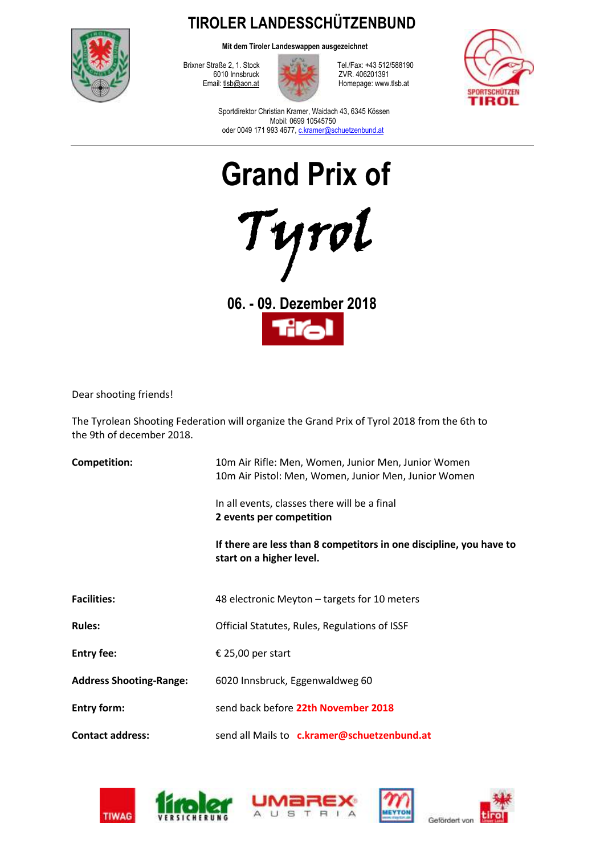

**TIROLER LANDESSCHÜTZENBUND**

**Mit dem Tiroler Landeswappen ausgezeichnet**

6010 Innsbruck ZVR. 406201391<br>Email: the bottom at the Homepage: www



Brixner Straße 2, 1. Stock Tel./Fax: +43 512/588190<br>6010 Innsbruck ZVR. 406201391 Homepage: www.tlsb.at



Sportdirektor Christian Kramer, Waidach 43, 6345 Kössen Mobil: 0699 10545750 oder 0049 171 993 4677[, c.kramer@schuetzenbund.at](mailto:c.kramer@schuetzenbund.at)



**06. - 09. Dezember 2018**

Dear shooting friends!

The Tyrolean Shooting Federation will organize the Grand Prix of Tyrol 2018 from the 6th to the 9th of december 2018.

| <b>Competition:</b>            | 10m Air Rifle: Men, Women, Junior Men, Junior Women<br>10m Air Pistol: Men, Women, Junior Men, Junior Women |  |
|--------------------------------|-------------------------------------------------------------------------------------------------------------|--|
|                                | In all events, classes there will be a final<br>2 events per competition                                    |  |
|                                | If there are less than 8 competitors in one discipline, you have to<br>start on a higher level.             |  |
| <b>Facilities:</b>             | 48 electronic Meyton – targets for 10 meters                                                                |  |
| <b>Rules:</b>                  | Official Statutes, Rules, Regulations of ISSF                                                               |  |
| <b>Entry fee:</b>              | € 25,00 per start                                                                                           |  |
| <b>Address Shooting-Range:</b> | 6020 Innsbruck, Eggenwaldweg 60                                                                             |  |
| <b>Entry form:</b>             | send back before 22th November 2018                                                                         |  |
| <b>Contact address:</b>        | send all Mails to c.kramer@schuetzenbund.at                                                                 |  |



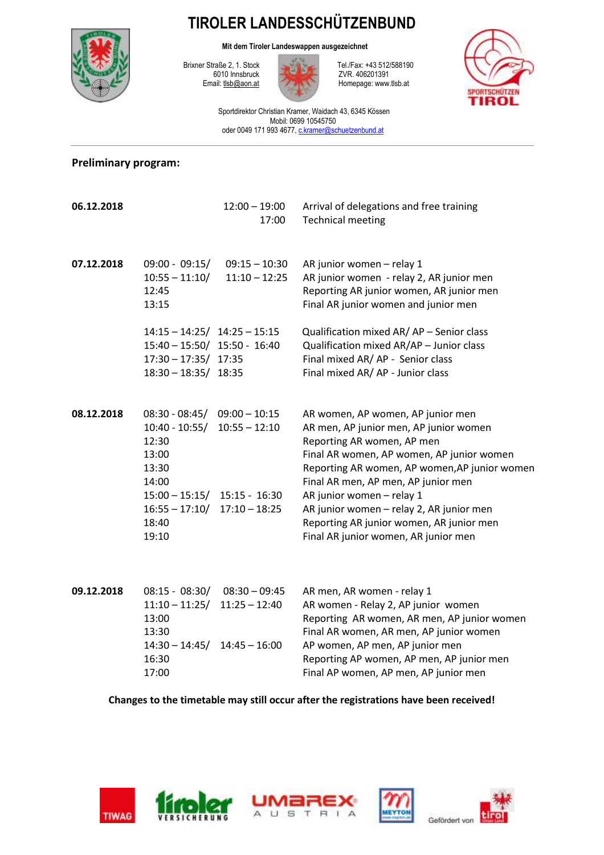## **TIROLER LANDESSCHÜTZENBUND**

**Mit dem Tiroler Landeswappen ausgezeichnet**



6010 Innsbruck ZVR. 406201391<br>Email: the bottom at Homepage: www



Brixner Straße 2, 1. Stock Tel./Fax: +43 512/588190<br>6010 Innsbruck ZVR. 406201391 Homepage: www.tlsb.at



Sportdirektor Christian Kramer, Waidach 43, 6345 Kössen Mobil: 0699 10545750 oder 0049 171 993 4677[, c.kramer@schuetzenbund.at](mailto:c.kramer@schuetzenbund.at)

## **Preliminary program:**

| 06.12.2018 |                                                                                                                                    | $12:00 - 19:00$<br>17:00                                                 | Arrival of delegations and free training<br><b>Technical meeting</b>                                                                                                                                                                                                                                                                                                                                        |
|------------|------------------------------------------------------------------------------------------------------------------------------------|--------------------------------------------------------------------------|-------------------------------------------------------------------------------------------------------------------------------------------------------------------------------------------------------------------------------------------------------------------------------------------------------------------------------------------------------------------------------------------------------------|
| 07.12.2018 | $09:00 - 09:15/$<br>$10:55 - 11:10/$<br>12:45<br>13:15                                                                             | $09:15 - 10:30$<br>$11:10 - 12:25$                                       | AR junior women - relay 1<br>AR junior women - relay 2, AR junior men<br>Reporting AR junior women, AR junior men<br>Final AR junior women and junior men                                                                                                                                                                                                                                                   |
|            | $14:15 - 14:25/$ $14:25 - 15:15$<br>$15:40 - 15:50/$ 15:50 - 16:40<br>$17:30 - 17:35/$ 17:35<br>$18:30 - 18:35/$ 18:35             |                                                                          | Qualification mixed AR/AP - Senior class<br>Qualification mixed AR/AP - Junior class<br>Final mixed AR/AP - Senior class<br>Final mixed AR/ AP - Junior class                                                                                                                                                                                                                                               |
| 08.12.2018 | $08:30 - 08:45/$<br>$10:40 - 10:55/$<br>12:30<br>13:00<br>13:30<br>14:00<br>$15:00 - 15:15/$<br>$16:55 - 17:10/$<br>18:40<br>19:10 | $09:00 - 10:15$<br>$10:55 - 12:10$<br>$15:15 - 16:30$<br>$17:10 - 18:25$ | AR women, AP women, AP junior men<br>AR men, AP junior men, AP junior women<br>Reporting AR women, AP men<br>Final AR women, AP women, AP junior women<br>Reporting AR women, AP women, AP junior women<br>Final AR men, AP men, AP junior men<br>AR junior women - relay 1<br>AR junior women - relay 2, AR junior men<br>Reporting AR junior women, AR junior men<br>Final AR junior women, AR junior men |
| 09.12.2018 | $08:15 - 08:30/$<br>$11:10 - 11:25/$<br>13:00                                                                                      | $08:30 - 09:45$<br>$11:25 - 12:40$                                       | AR men, AR women - relay 1<br>AR women - Relay 2, AP junior women<br>Reporting AR women, AR men, AP junior women                                                                                                                                                                                                                                                                                            |

13:00 Reporting AR women, AR men, AP junior women 13:30 Final AR women, AR men, AP junior women 14:30 – 14:45/ 14:45 – 16:00 AP women, AP men, AP junior men 16:30 Reporting AP women, AP men, AP junior men 17:00 Final AP women, AP men, AP junior men

**Changes to the timetable may still occur after the registrations have been received!**